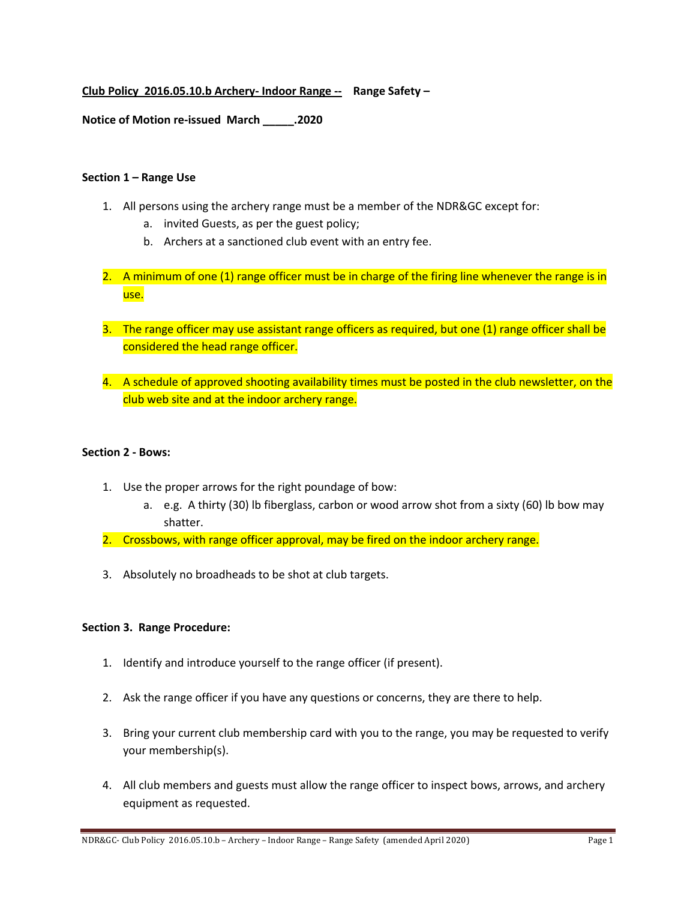## **Club Policy 2016.05.10.b Archery- Indoor Range -- Range Safety –**

### **Notice of Motion re-issued March \_\_\_\_\_.2020**

#### **Section 1 – Range Use**

- 1. All persons using the archery range must be a member of the NDR&GC except for:
	- a. invited Guests, as per the guest policy;
	- b. Archers at a sanctioned club event with an entry fee.
- 2. A minimum of one (1) range officer must be in charge of the firing line whenever the range is in use.
- 3. The range officer may use assistant range officers as required, but one (1) range officer shall be considered the head range officer.
- 4. A schedule of approved shooting availability times must be posted in the club newsletter, on the club web site and at the indoor archery range.

### **Section 2 - Bows:**

- 1. Use the proper arrows for the right poundage of bow:
	- a. e.g. A thirty (30) lb fiberglass, carbon or wood arrow shot from a sixty (60) lb bow may shatter.
- 2. Crossbows, with range officer approval, may be fired on the indoor archery range.
- 3. Absolutely no broadheads to be shot at club targets.

#### **Section 3. Range Procedure:**

- 1. Identify and introduce yourself to the range officer (if present).
- 2. Ask the range officer if you have any questions or concerns, they are there to help.
- 3. Bring your current club membership card with you to the range, you may be requested to verify your membership(s).
- 4. All club members and guests must allow the range officer to inspect bows, arrows, and archery equipment as requested.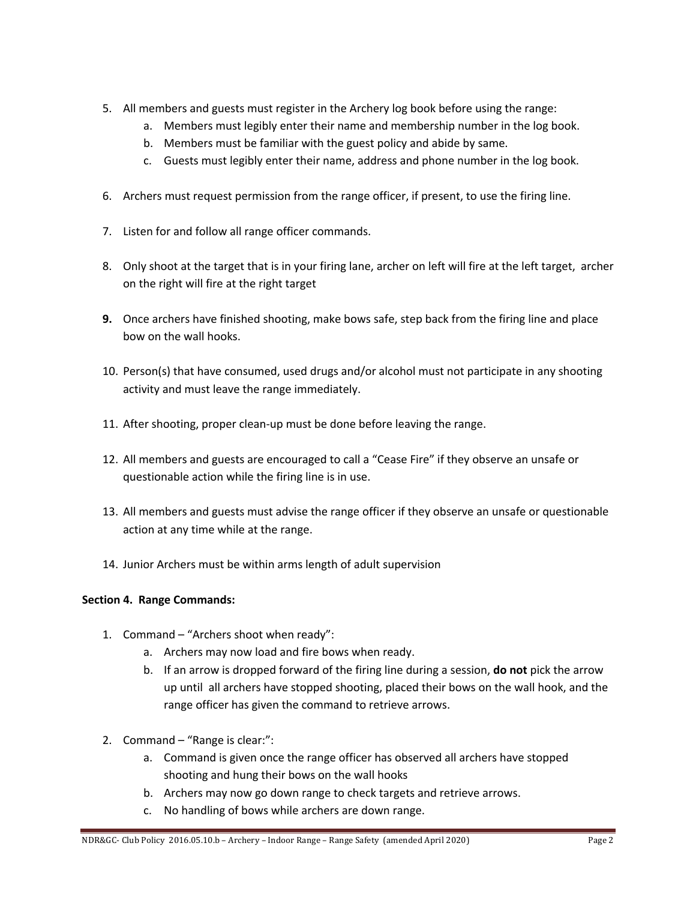- 5. All members and guests must register in the Archery log book before using the range:
	- a. Members must legibly enter their name and membership number in the log book.
	- b. Members must be familiar with the guest policy and abide by same.
	- c. Guests must legibly enter their name, address and phone number in the log book.
- 6. Archers must request permission from the range officer, if present, to use the firing line.
- 7. Listen for and follow all range officer commands.
- 8. Only shoot at the target that is in your firing lane, archer on left will fire at the left target, archer on the right will fire at the right target
- **9.** Once archers have finished shooting, make bows safe, step back from the firing line and place bow on the wall hooks.
- 10. Person(s) that have consumed, used drugs and/or alcohol must not participate in any shooting activity and must leave the range immediately.
- 11. After shooting, proper clean-up must be done before leaving the range.
- 12. All members and guests are encouraged to call a "Cease Fire" if they observe an unsafe or questionable action while the firing line is in use.
- 13. All members and guests must advise the range officer if they observe an unsafe or questionable action at any time while at the range.
- 14. Junior Archers must be within arms length of adult supervision

# **Section 4. Range Commands:**

- 1. Command "Archers shoot when ready":
	- a. Archers may now load and fire bows when ready.
	- b. If an arrow is dropped forward of the firing line during a session, **do not** pick the arrow up until all archers have stopped shooting, placed their bows on the wall hook, and the range officer has given the command to retrieve arrows.
- 2. Command "Range is clear:":
	- a. Command is given once the range officer has observed all archers have stopped shooting and hung their bows on the wall hooks
	- b. Archers may now go down range to check targets and retrieve arrows.
	- c. No handling of bows while archers are down range.